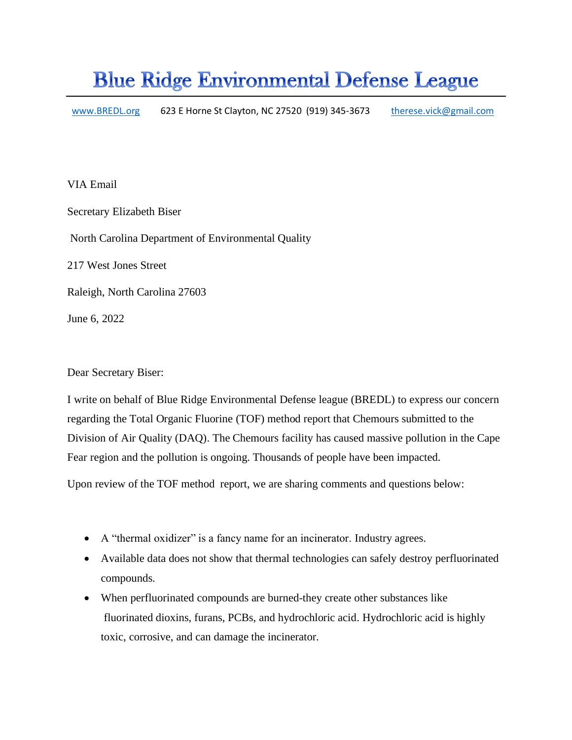## **Blue Ridge Environmental Defense League**

[www.BREDL.org](http://www.bredl.org/) 623 E Horne St Clayton, NC 27520 (919) 345-3673 therese.vick@gmail.com

VIA Email Secretary Elizabeth Biser North Carolina Department of Environmental Quality 217 West Jones Street Raleigh, North Carolina 27603 June 6, 2022

Dear Secretary Biser:

I write on behalf of Blue Ridge Environmental Defense league (BREDL) to express our concern regarding the Total Organic Fluorine (TOF) method report that Chemours submitted to the Division of Air Quality (DAQ). The Chemours facility has caused massive pollution in the Cape Fear region and the pollution is ongoing. Thousands of people have been impacted.

Upon review of the TOF method report, we are sharing comments and questions below:

- A "thermal oxidizer" is a fancy name for an incinerator. Industry agrees.
- Available data does not show that thermal technologies can safely destroy perfluorinated compounds.
- When perfluorinated compounds are burned-they create other substances like fluorinated dioxins, furans, PCBs, and hydrochloric acid. Hydrochloric acid is highly toxic, corrosive, and can damage the incinerator.